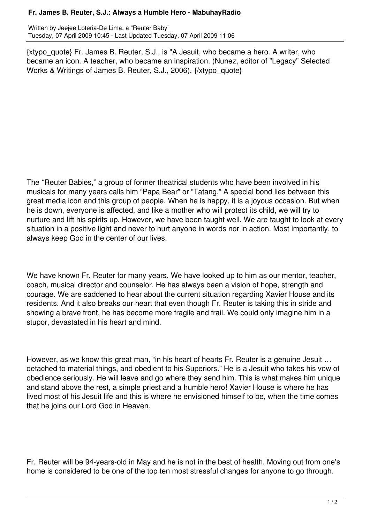## **Fr. James B. Reuter, S.J.: Always a Humble Hero - MabuhayRadio**

Written by Jeejee Loteria-De Lima, a "Reuter Baby" Tuesday, 07 April 2009 10:45 - Last Updated Tuesday, 07 April 2009 11:06

{xtypo\_quote} Fr. James B. Reuter, S.J., is "A Jesuit, who became a hero. A writer, who became an icon. A teacher, who became an inspiration. (Nunez, editor of "Legacy" Selected Works & Writings of James B. Reuter, S.J., 2006). {/xtypo\_quote}

The "Reuter Babies," a group of former theatrical students who have been involved in his musicals for many years calls him "Papa Bear" or "Tatang." A special bond lies between this great media icon and this group of people. When he is happy, it is a joyous occasion. But when he is down, everyone is affected, and like a mother who will protect its child, we will try to nurture and lift his spirits up. However, we have been taught well. We are taught to look at every situation in a positive light and never to hurt anyone in words nor in action. Most importantly, to always keep God in the center of our lives.

We have known Fr. Reuter for many years. We have looked up to him as our mentor, teacher, coach, musical director and counselor. He has always been a vision of hope, strength and courage. We are saddened to hear about the current situation regarding Xavier House and its residents. And it also breaks our heart that even though Fr. Reuter is taking this in stride and showing a brave front, he has become more fragile and frail. We could only imagine him in a stupor, devastated in his heart and mind.

However, as we know this great man, "in his heart of hearts Fr. Reuter is a genuine Jesuit … detached to material things, and obedient to his Superiors." He is a Jesuit who takes his vow of obedience seriously. He will leave and go where they send him. This is what makes him unique and stand above the rest, a simple priest and a humble hero! Xavier House is where he has lived most of his Jesuit life and this is where he envisioned himself to be, when the time comes that he joins our Lord God in Heaven.

Fr. Reuter will be 94-years-old in May and he is not in the best of health. Moving out from one's home is considered to be one of the top ten most stressful changes for anyone to go through.